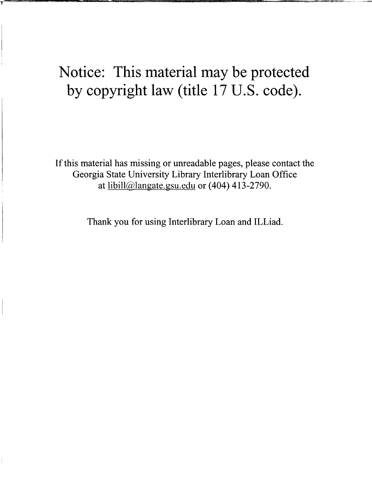# Notice: This material may be protected by copyright law (title 17 U.S. code).

If this material has missing or unreadable pages, please contact the Georgia State University Library Interlibrary Loan Office at  $\frac{1}{10}$  libill@langate.gsu.edu or (404) 413-2790.

Thank you for using Interlibrary Loan and ILLiad.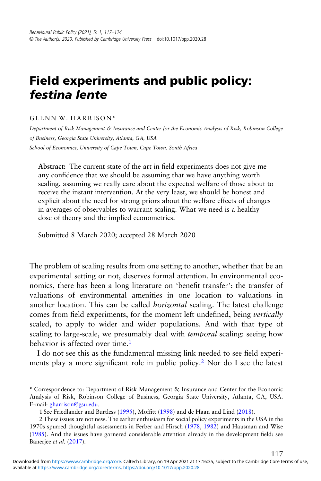## Field experiments and public policy: festina lente

GLENN W. HARRISON\*

Department of Risk Management & Insurance and Center for the Economic Analysis of Risk, Robinson College of Business, Georgia State University, Atlanta, GA, USA School of Economics, University of Cape Town, Cape Town, South Africa

Abstract: The current state of the art in field experiments does not give me any confidence that we should be assuming that we have anything worth scaling, assuming we really care about the expected welfare of those about to receive the instant intervention. At the very least, we should be honest and explicit about the need for strong priors about the welfare effects of changes in averages of observables to warrant scaling. What we need is a healthy dose of theory and the implied econometrics.

Submitted 8 March 2020; accepted 28 March 2020

The problem of scaling results from one setting to another, whether that be an experimental setting or not, deserves formal attention. In environmental economics, there has been a long literature on 'benefit transfer': the transfer of valuations of environmental amenities in one location to valuations in another location. This can be called horizontal scaling. The latest challenge comes from field experiments, for the moment left undefined, being vertically scaled, to apply to wider and wider populations. And with that type of scaling to large-scale, we presumably deal with temporal scaling: seeing how behavior is affected over time.<sup>1</sup>

I do not see this as the fundamental missing link needed to see field experiments play a more significant role in public policy.<sup>2</sup> Nor do I see the latest

117

<sup>\*</sup> Correspondence to: Department of Risk Management & Insurance and Center for the Economic Analysis of Risk, Robinson College of Business, Georgia State University, Atlanta, GA, USA. E-mail: [gharrison@gsu.edu](mailto:gharrison@gsu.edu).

<sup>1</sup> See Friedlander and Burtless (1995), Moffitt (1998) and de Haan and Lind (2018).

<sup>2</sup> These issues are not new. The earlier enthusiasm for social policy experiments in the USA in the 1970s spurred thoughtful assessments in Ferber and Hirsch (1978, 1982) and Hausman and Wise (1985). And the issues have garnered considerable attention already in the development field: see Banerjee et al. (2017).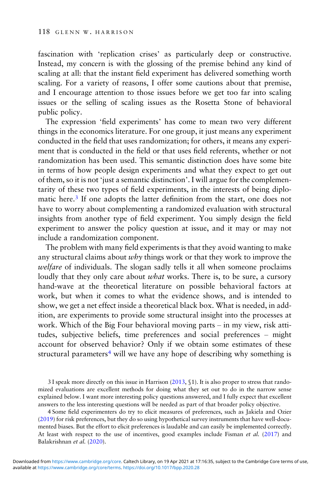fascination with 'replication crises' as particularly deep or constructive. Instead, my concern is with the glossing of the premise behind any kind of scaling at all: that the instant field experiment has delivered something worth scaling. For a variety of reasons, I offer some cautions about that premise, and I encourage attention to those issues before we get too far into scaling issues or the selling of scaling issues as the Rosetta Stone of behavioral public policy.

The expression 'field experiments' has come to mean two very different things in the economics literature. For one group, it just means any experiment conducted in the field that uses randomization; for others, it means any experiment that is conducted in the field or that uses field referents, whether or not randomization has been used. This semantic distinction does have some bite in terms of how people design experiments and what they expect to get out of them, so it is not 'just a semantic distinction'. I will argue for the complementarity of these two types of field experiments, in the interests of being diplomatic here.<sup>3</sup> If one adopts the latter definition from the start, one does not have to worry about complementing a randomized evaluation with structural insights from another type of field experiment. You simply design the field experiment to answer the policy question at issue, and it may or may not include a randomization component.

The problem with many field experiments is that they avoid wanting to make any structural claims about  $w h y$  things work or that they work to improve the welfare of individuals. The slogan sadly tells it all when someone proclaims loudly that they only care about *what* works. There is, to be sure, a cursory hand-wave at the theoretical literature on possible behavioral factors at work, but when it comes to what the evidence shows, and is intended to show, we get a net effect inside a theoretical black box. What is needed, in addition, are experiments to provide some structural insight into the processes at work. Which of the Big Four behavioral moving parts – in my view, risk attitudes, subjective beliefs, time preferences and social preferences – might account for observed behavior? Only if we obtain some estimates of these structural parameters<sup>4</sup> will we have any hope of describing why something is

<sup>3</sup> I speak more directly on this issue in Harrison (2013, §1). It is also proper to stress that randomized evaluations are excellent methods for doing what they set out to do in the narrow sense explained below. I want more interesting policy questions answered, and I fully expect that excellent answers to the less interesting questions will be needed as part of that broader policy objective.

<sup>4</sup> Some field experimenters do try to elicit measures of preferences, such as Jakiela and Ozier (2019) for risk preferences, but they do so using hypothetical survey instruments that have well-documented biases. But the effort to elicit preferences is laudable and can easily be implemented correctly. At least with respect to the use of incentives, good examples include Fisman et al.  $(2017)$  and Balakrishnan et al. (2020).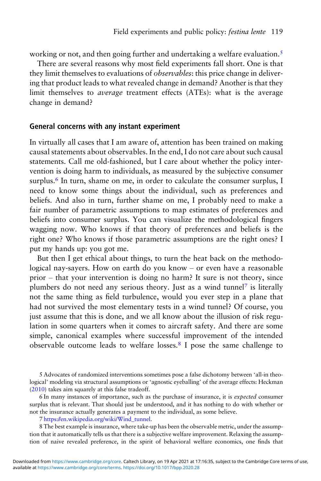working or not, and then going further and undertaking a welfare evaluation.<sup>5</sup>

There are several reasons why most field experiments fall short. One is that they limit themselves to evaluations of observables: this price change in delivering that product leads to what revealed change in demand? Another is that they limit themselves to average treatment effects (ATEs): what is the average change in demand?

#### General concerns with any instant experiment

In virtually all cases that I am aware of, attention has been trained on making causal statements about observables. In the end, I do not care about such causal statements. Call me old-fashioned, but I care about whether the policy intervention is doing harm to individuals, as measured by the subjective consumer surplus.<sup>6</sup> In turn, shame on me, in order to calculate the consumer surplus, I need to know some things about the individual, such as preferences and beliefs. And also in turn, further shame on me, I probably need to make a fair number of parametric assumptions to map estimates of preferences and beliefs into consumer surplus. You can visualize the methodological fingers wagging now. Who knows if that theory of preferences and beliefs is the right one? Who knows if those parametric assumptions are the right ones? I put my hands up: you got me.

But then I get ethical about things, to turn the heat back on the methodological nay-sayers. How on earth do you know – or even have a reasonable prior – that your intervention is doing no harm? It sure is not theory, since plumbers do not need any serious theory. Just as a wind tunnel<sup>7</sup> is literally not the same thing as field turbulence, would you ever step in a plane that had not survived the most elementary tests in a wind tunnel? Of course, you just assume that this is done, and we all know about the illusion of risk regulation in some quarters when it comes to aircraft safety. And there are some simple, canonical examples where successful improvement of the intended observable outcome leads to welfare losses.<sup>8</sup> I pose the same challenge to

6 In many instances of importance, such as the purchase of insurance, it is expected consumer surplus that is relevant. That should just be understood, and it has nothing to do with whether or not the insurance actually generates a payment to the individual, as some believe.

7 [https://en.wikipedia.org/wiki/Wind\\_tunnel.](https://en.wikipedia.org/wiki/Wind_tunnel)

8 The best example is insurance, where take-up has been the observable metric, under the assumption that it automatically tells us that there is a subjective welfare improvement. Relaxing the assumption of naive revealed preference, in the spirit of behavioral welfare economics, one finds that

<sup>5</sup> Advocates of randomized interventions sometimes pose a false dichotomy between 'all-in theological' modeling via structural assumptions or 'agnostic eyeballing' of the average effects: Heckman (2010) takes aim squarely at this false tradeoff.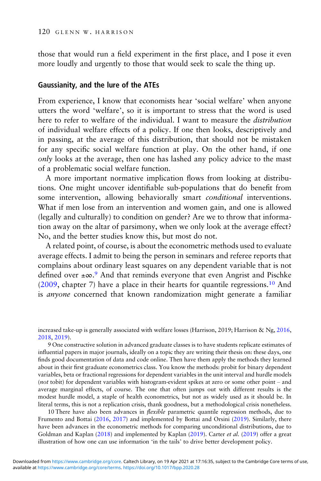those that would run a field experiment in the first place, and I pose it even more loudly and urgently to those that would seek to scale the thing up.

#### Gaussianity, and the lure of the ATEs

From experience, I know that economists hear 'social welfare' when anyone utters the word 'welfare', so it is important to stress that the word is used here to refer to welfare of the individual. I want to measure the distribution of individual welfare effects of a policy. If one then looks, descriptively and in passing, at the average of this distribution, that should not be mistaken for any specific social welfare function at play. On the other hand, if one only looks at the average, then one has lashed any policy advice to the mast of a problematic social welfare function.

A more important normative implication flows from looking at distributions. One might uncover identifiable sub-populations that do benefit from some intervention, allowing behaviorally smart *conditional* interventions. What if men lose from an intervention and women gain, and one is allowed (legally and culturally) to condition on gender? Are we to throw that information away on the altar of parsimony, when we only look at the average effect? No, and the better studies know this, but most do not.

A related point, of course, is about the econometric methods used to evaluate average effects. I admit to being the person in seminars and referee reports that complains about ordinary least squares on any dependent variable that is not defined over ±∞. <sup>9</sup> And that reminds everyone that even Angrist and Pischke (2009, chapter 7) have a place in their hearts for quantile regressions.<sup>10</sup> And is anyone concerned that known randomization might generate a familiar

increased take-up is generally associated with welfare losses (Harrison, 2019; Harrison & Ng, 2016, 2018, 2019).

9 One constructive solution in advanced graduate classes is to have students replicate estimates of influential papers in major journals, ideally on a topic they are writing their thesis on: these days, one finds good documentation of data and code online. Then have them apply the methods they learned about in their first graduate econometrics class. You know the methods: probit for binary dependent variables, beta or fractional regressions for dependent variables in the unit interval and hurdle models (not tobit) for dependent variables with histogram-evident spikes at zero or some other point – and average marginal effects, of course. The one that often jumps out with different results is the modest hurdle model, a staple of health econometrics, but not as widely used as it should be. In literal terms, this is not a replication crisis, thank goodness, but a methodological crisis nonetheless.

10 There have also been advances in *flexible* parametric quantile regression methods, due to Frumento and Bottai (2016, 2017) and implemented by Bottai and Orsini (2019). Similarly, there have been advances in the econometric methods for comparing unconditional distributions, due to Goldman and Kaplan (2018) and implemented by Kaplan (2019). Carter et al. (2019) offer a great illustration of how one can use information 'in the tails' to drive better development policy.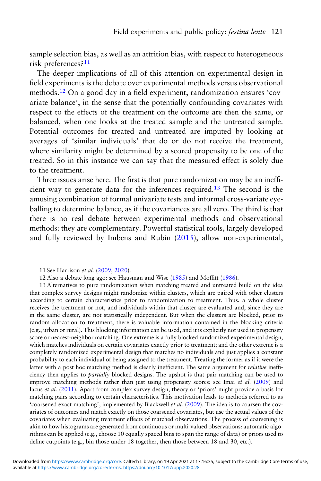sample selection bias, as well as an attrition bias, with respect to heterogeneous risk preferences?<sup>11</sup>

The deeper implications of all of this attention on experimental design in field experiments is the debate over experimental methods versus observational methods.<sup>12</sup> On a good day in a field experiment, randomization ensures 'covariate balance', in the sense that the potentially confounding covariates with respect to the effects of the treatment on the outcome are then the same, or balanced, when one looks at the treated sample and the untreated sample. Potential outcomes for treated and untreated are imputed by looking at averages of 'similar individuals' that do or do not receive the treatment, where similarity might be determined by a scored propensity to be one of the treated. So in this instance we can say that the measured effect is solely due to the treatment.

Three issues arise here. The first is that pure randomization may be an inefficient way to generate data for the inferences required.<sup>13</sup> The second is the amusing combination of formal univariate tests and informal cross-variate eyeballing to determine balance, as if the covariances are all zero. The third is that there is no real debate between experimental methods and observational methods: they are complementary. Powerful statistical tools, largely developed and fully reviewed by Imbens and Rubin (2015), allow non-experimental,

<sup>11</sup> See Harrison et al. (2009, 2020).

<sup>12</sup> Also a debate long ago: see Hausman and Wise (1985) and Moffitt (1986).

<sup>13</sup> Alternatives to pure randomization when matching treated and untreated build on the idea that complex survey designs might randomize within clusters, which are paired with other clusters according to certain characteristics prior to randomization to treatment. Thus, a whole cluster receives the treatment or not, and individuals within that cluster are evaluated and, since they are in the same cluster, are not statistically independent. But when the clusters are blocked, prior to random allocation to treatment, there is valuable information contained in the blocking criteria (e.g., urban or rural). This blocking information can be used, and it is explicitly not used in propensity score or nearest-neighbor matching. One extreme is a fully blocked randomized experimental design, which matches individuals on certain covariates exactly prior to treatment; and the other extreme is a completely randomized experimental design that matches no individuals and just applies a constant probability to each individual of being assigned to the treatment. Treating the former as if it were the latter with a post hoc matching method is clearly inefficient. The same argument for *relative* inefficiency then applies to partially blocked designs. The upshot is that pair matching can be used to improve matching methods rather than just using propensity scores: see Imai et al. (2009) and Iacus et al. (2011). Apart from complex survey design, theory or 'priors' might provide a basis for matching pairs according to certain characteristics. This motivation leads to methods referred to as 'coarsened exact matching', implemented by Blackwell et al. (2009). The idea is to coarsen the covariates of outcomes and match exactly on those coarsened covariates, but use the actual values of the covariates when evaluating treatment effects of matched observations. The process of coarsening is akin to how histograms are generated from continuous or multi-valued observations: automatic algorithms can be applied (e.g., choose 10 equally spaced bins to span the range of data) or priors used to define cutpoints (e.g., bin those under 18 together, then those between 18 and 30, etc.).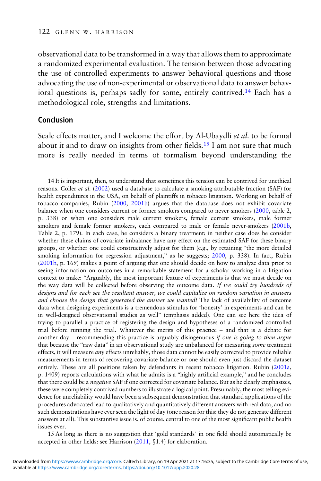observational data to be transformed in a way that allows them to approximate a randomized experimental evaluation. The tension between those advocating the use of controlled experiments to answer behavioral questions and those advocating the use of non-experimental or observational data to answer behavioral questions is, perhaps sadly for some, entirely contrived.<sup>14</sup> Each has a methodological role, strengths and limitations.

#### Conclusion

Scale effects matter, and I welcome the effort by Al-Ubaydli et al. to be formal about it and to draw on insights from other fields.<sup>15</sup> I am not sure that much more is really needed in terms of formalism beyond understanding the

14 It is important, then, to understand that sometimes this tension can be contrived for unethical reasons. Coller et al. (2002) used a database to calculate a smoking-attributable fraction (SAF) for health expenditures in the USA, on behalf of plaintiffs in tobacco litigation. Working on behalf of tobacco companies, Rubin (2000, 2001b) argues that the database does not exhibit covariate balance when one considers current or former smokers compared to never-smokers (2000, table 2, p. 338) or when one considers male current smokers, female current smokers, male former smokers and female former smokers, each compared to male or female never-smokers (2001b, Table 2, p. 179). In each case, he considers a binary treatment; in neither case does he consider whether these claims of covariate imbalance have any effect on the estimated SAF for these binary groups, or whether one could constructively adjust for them (e.g., by retaining "the more detailed smoking information for regression adjustment," as he suggests; 2000, p. 338). In fact, Rubin (2001b, p. 169) makes a point of arguing that one should decide on how to analyze data prior to seeing information on outcomes in a remarkable statement for a scholar working in a litigation context to make: "Arguably, the most important feature of experiments is that we must decide on the way data will be collected before observing the outcome data. If we could try hundreds of designs and for each see the resultant answer, we could capitalize on random variation in answers and choose the design that generated the answer we wanted! The lack of availability of outcome data when designing experiments is a tremendous stimulus for 'honesty' in experiments and can be in well-designed observational studies as well" (emphasis added). One can see here the idea of trying to parallel a practice of registering the design and hypotheses of a randomized controlled trial before running the trial. Whatever the merits of this practice – and that is a debate for another day – recommending this practice is arguably disingenuous *if one is going to then argue* that because the "raw data" in an observational study are unbalanced for measuring *some* treatment effects, it will measure *any* effects unreliably, those data cannot be easily corrected to provide reliable measurements in terms of recovering covariate balance or one should even just discard the dataset entirely. These are all positions taken by defendants in recent tobacco litigation. Rubin (2001a, p. 1409) reports calculations with what he admits is a "highly artificial example," and he concludes that there could be a negative SAF if one corrected for covariate balance. But as he clearly emphasizes, these were completely contrived numbers to illustrate a logical point. Presumably, the most telling evidence for unreliability would have been a subsequent demonstration that standard applications of the procedures advocated lead to qualitatively and quantitatively different answers with real data, and no such demonstrations have ever seen the light of day (one reason for this: they do not generate different answers at all). This substantive issue is, of course, central to one of the most significant public health issues ever.

15 As long as there is no suggestion that 'gold standards' in one field should automatically be accepted in other fields: see Harrison (2011, §1.4) for elaboration.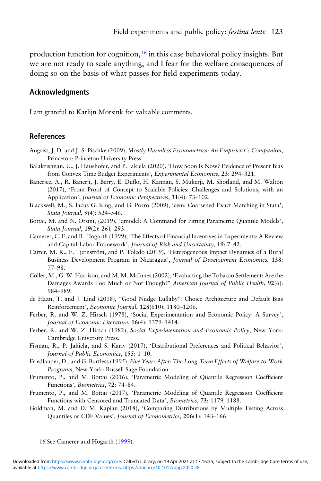production function for cognition, $16$  in this case behavioral policy insights. But we are not ready to scale anything, and I fear for the welfare consequences of doing so on the basis of what passes for field experiments today.

#### Acknowledgments

I am grateful to Karlijn Morsink for valuable comments.

### References

- Angrist, J. D. and J.-S. Pischke (2009), Mostly Harmless Econometrics: An Empiricist's Companion, Princeton: Princeton University Press.
- Balakrishnan, U., J. Haushofer, and P. Jakiela (2020), 'How Soon Is Now? Evidence of Present Bias from Convex Time Budget Experiments', Experimental Economics, 23: 294–321.
- Banerjee, A., R. Banerji, J. Berry, E. Duflo, H. Kannan, S. Mukerji, M. Shotland, and M. Walton (2017), 'From Proof of Concept to Scalable Policies: Challenges and Solutions, with an Application', Journal of Economic Perspectives, 31(4): 73–102.
- Blackwell, M., S. Iacus G. King, and G. Porro (2009), 'cem: Coarsened Exact Matching in Stata', Stata Journal, 9(4): 524–546.
- Bottai, M. and N. Orsini, (2019), 'qmodel: A Command for Fitting Parametric Quantile Models', Stata Journal, 19(2): 261–293.
- Camerer, C. F. and R. Hogarth (1999), 'The Effects of Financial Incentives in Experiments: A Review and Capital-Labor Framework', Journal of Risk and Uncertainty, 19: 7–42.
- Carter, M. R., E. Tjernström, and P. Toledo (2019), 'Heterogeneous Impact Dynamics of a Rural Business Development Program in Nicaragua', Journal of Development Economics, 138: 77–98.
- Coller, M., G. W. Harrison, and M. M. McInnes (2002), 'Evaluating the Tobacco Settlement: Are the Damages Awards Too Much or Not Enough?" American Journal of Public Health, 92(6): 984–989.
- de Haan, T. and J. Lind (2018), "Good Nudge Lullaby": Choice Architecture and Default Bias Reinforcement', Economic Journal, 128(610): 1180–1206.
- Ferber, R. and W. Z. Hirsch (1978), 'Social Experimentation and Economic Policy: A Survey', Journal of Economic Literature, 16(4): 1379–1414.
- Ferber, R. and W. Z. Hirsch (1982), Social Experimentation and Economic Policy, New York: Cambridge University Press.
- Fisman, R., P. Jakiela, and S. Kariv (2017), 'Distributional Preferences and Political Behavior', Journal of Public Economics, 155: 1–10.
- Friedlander, D., and G. Burtless (1995), Five Years After: The Long-Term Effects of Welfare-to-Work Programs, New York: Russell Sage Foundation.
- Frumento, P., and M. Bottai (2016), 'Parametric Modeling of Quantile Regression Coefficient Functions', Biometrics, 72: 74–84.
- Frumento, P., and M. Bottai (2017), 'Parametric Modeling of Quantile Regression Coefficient Functions with Censored and Truncated Data', Biometrics, 73: 1179–1188.
- Goldman, M. and D. M. Kaplan (2018), 'Comparing Distributions by Multiple Testing Across Quantiles or CDF Values', Journal of Econometrics, 206(1): 143–166.

<sup>16</sup> See Camerer and Hogarth (1999).